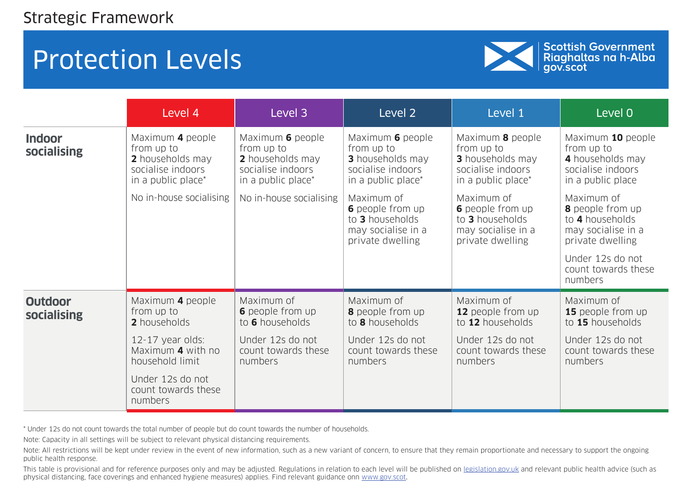

Scottish Government<br>Riaghaltas na h-Alba<br>gov.scot

|                               | Level 4                                                                                       | Level 3                                                                                       | Level 2                                                                                              | Level 1                                                                                              | Level 0                                                                                                                |
|-------------------------------|-----------------------------------------------------------------------------------------------|-----------------------------------------------------------------------------------------------|------------------------------------------------------------------------------------------------------|------------------------------------------------------------------------------------------------------|------------------------------------------------------------------------------------------------------------------------|
| <b>Indoor</b><br>socialising  | Maximum 4 people<br>from up to<br>2 households may<br>socialise indoors<br>in a public place* | Maximum 6 people<br>from up to<br>2 households may<br>socialise indoors<br>in a public place* | Maximum 6 people<br>from up to<br><b>3</b> households may<br>socialise indoors<br>in a public place* | Maximum 8 people<br>from up to<br><b>3</b> households may<br>socialise indoors<br>in a public place* | Maximum 10 people<br>from up to<br>4 households may<br>socialise indoors<br>in a public place                          |
|                               | No in-house socialising                                                                       | No in-house socialising                                                                       | Maximum of<br><b>6</b> people from up<br>to 3 households<br>may socialise in a<br>private dwelling   | Maximum of<br><b>6</b> people from up<br>to 3 households<br>may socialise in a<br>private dwelling   | Maximum of<br><b>8</b> people from up<br>to 4 households<br>may socialise in a<br>private dwelling<br>Under 12s do not |
|                               |                                                                                               |                                                                                               |                                                                                                      |                                                                                                      | count towards these<br>numbers                                                                                         |
| <b>Outdoor</b><br>socialising | Maximum 4 people<br>from up to<br>2 households                                                | Maximum of<br><b>6</b> people from up<br>to 6 households                                      | Maximum of<br><b>8</b> people from up<br>to 8 households                                             | Maximum of<br>12 people from up<br>to 12 households                                                  | Maximum of<br>15 people from up<br>to 15 households                                                                    |
|                               | 12-17 year olds:<br>Maximum 4 with no<br>household limit                                      | Under 12s do not<br>count towards these<br>numbers                                            | Under 12s do not<br>count towards these<br>numbers                                                   | Under 12s do not<br>count towards these<br>numbers                                                   | Under 12s do not<br>count towards these<br>numbers                                                                     |
|                               | Under 12s do not<br>count towards these<br>numbers                                            |                                                                                               |                                                                                                      |                                                                                                      |                                                                                                                        |

\* Under 12s do not count towards the total number of people but do count towards the number of households.

Note: Capacity in all settings will be subject to relevant physical distancing requirements.

Note: All restrictions will be kept under review in the event of new information, such as a new variant of concern, to ensure that they remain proportionate and necessary to support the ongoing public health response.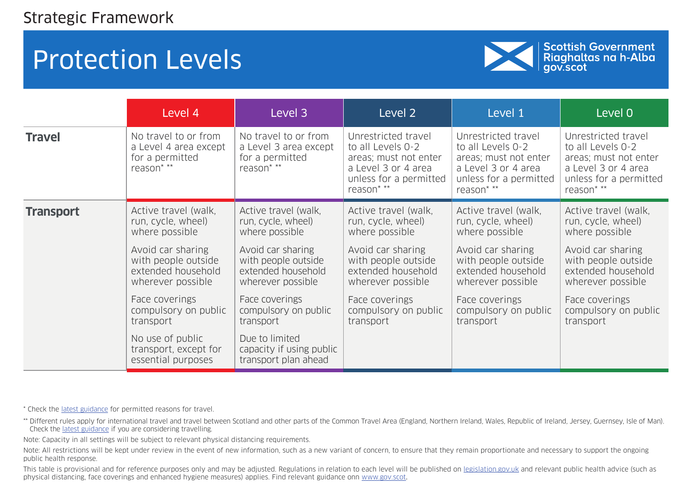

Scottish Government<br>Riaghaltas na h-Alba<br>gov.scot

|                  | Level 4                                                                        | Level 3                                                                        | Level 2                                                                                                                          | Level 1                                                                                                                          | Level 0                                                                                                                          |
|------------------|--------------------------------------------------------------------------------|--------------------------------------------------------------------------------|----------------------------------------------------------------------------------------------------------------------------------|----------------------------------------------------------------------------------------------------------------------------------|----------------------------------------------------------------------------------------------------------------------------------|
| <b>Travel</b>    | No travel to or from<br>a Level 4 area except<br>for a permitted<br>reason* ** | No travel to or from<br>a Level 3 area except<br>for a permitted<br>reason* ** | Unrestricted travel<br>to all Levels 0-2<br>areas; must not enter<br>a Level 3 or 4 area<br>unless for a permitted<br>reason* ** | Unrestricted travel<br>to all Levels 0-2<br>areas; must not enter<br>a Level 3 or 4 area<br>unless for a permitted<br>reason* ** | Unrestricted travel<br>to all Levels 0-2<br>areas; must not enter<br>a Level 3 or 4 area<br>unless for a permitted<br>reason* ** |
| <b>Transport</b> | Active travel (walk,                                                           | Active travel (walk,                                                           | Active travel (walk,                                                                                                             | Active travel (walk,                                                                                                             | Active travel (walk,                                                                                                             |
|                  | run, cycle, wheel)                                                             | run, cycle, wheel)                                                             | run, cycle, wheel)                                                                                                               | run, cycle, wheel)                                                                                                               | run, cycle, wheel)                                                                                                               |
|                  | where possible                                                                 | where possible                                                                 | where possible                                                                                                                   | where possible                                                                                                                   | where possible                                                                                                                   |
|                  | Avoid car sharing                                                              | Avoid car sharing                                                              | Avoid car sharing                                                                                                                | Avoid car sharing                                                                                                                | Avoid car sharing                                                                                                                |
|                  | with people outside                                                            | with people outside                                                            | with people outside                                                                                                              | with people outside                                                                                                              | with people outside                                                                                                              |
|                  | extended household                                                             | extended household                                                             | extended household                                                                                                               | extended household                                                                                                               | extended household                                                                                                               |
|                  | wherever possible                                                              | wherever possible                                                              | wherever possible                                                                                                                | wherever possible                                                                                                                | wherever possible                                                                                                                |
|                  | Face coverings                                                                 | Face coverings                                                                 | Face coverings                                                                                                                   | Face coverings                                                                                                                   | Face coverings                                                                                                                   |
|                  | compulsory on public                                                           | compulsory on public                                                           | compulsory on public                                                                                                             | compulsory on public                                                                                                             | compulsory on public                                                                                                             |
|                  | transport                                                                      | transport                                                                      | transport                                                                                                                        | transport                                                                                                                        | transport                                                                                                                        |
|                  | No use of public<br>transport, except for<br>essential purposes                | Due to limited<br>capacity if using public<br>transport plan ahead             |                                                                                                                                  |                                                                                                                                  |                                                                                                                                  |

\* Check the [latest guidance](https://www.gov.scot/publications/coronavirus-covid-19-guidance-on-travel-and-transport/) for permitted reasons for travel.

\*\* Different rules apply for international travel and travel between Scotland and other parts of the Common Travel Area (England, Northern Ireland, Wales, Republic of Ireland, Jersey, Guernsey, Isle of Man). Check the [latest guidance](https://www.gov.scot/publications/coronavirus-covid-19-guidance-on-travel-and-transport/) if you are considering travelling.

Note: Capacity in all settings will be subject to relevant physical distancing requirements.

Note: All restrictions will be kept under review in the event of new information, such as a new variant of concern, to ensure that they remain proportionate and necessary to support the ongoing public health response.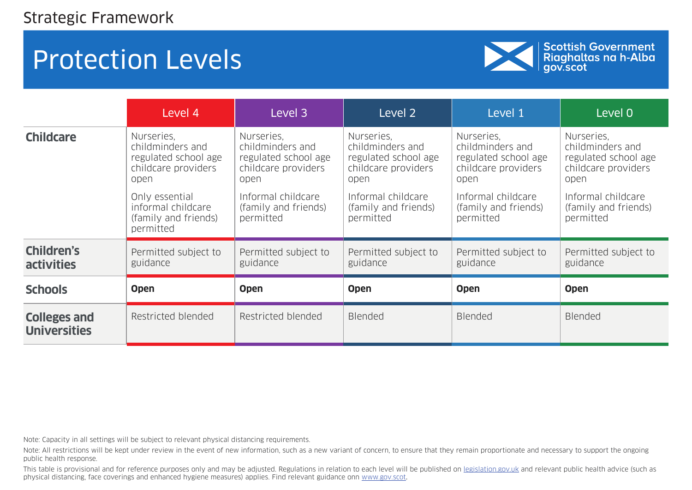

Scottish Government<br>Riaghaltas na h-Alba<br>gov.scot

|                                            | Level 4                                                                                                                                                            | Level 3                                                                                                                                          | Level 2                                                                                                                                          | Level 1                                                                                                                                          | Level 0                                                                                                                                          |
|--------------------------------------------|--------------------------------------------------------------------------------------------------------------------------------------------------------------------|--------------------------------------------------------------------------------------------------------------------------------------------------|--------------------------------------------------------------------------------------------------------------------------------------------------|--------------------------------------------------------------------------------------------------------------------------------------------------|--------------------------------------------------------------------------------------------------------------------------------------------------|
| <b>Childcare</b>                           | Nurseries.<br>childminders and<br>regulated school age<br>childcare providers<br>open<br>Only essential<br>informal childcare<br>(family and friends)<br>permitted | Nurseries,<br>childminders and<br>regulated school age<br>childcare providers<br>open<br>Informal childcare<br>(family and friends)<br>permitted | Nurseries,<br>childminders and<br>regulated school age<br>childcare providers<br>open<br>Informal childcare<br>(family and friends)<br>permitted | Nurseries.<br>childminders and<br>regulated school age<br>childcare providers<br>open<br>Informal childcare<br>(family and friends)<br>permitted | Nurseries.<br>childminders and<br>regulated school age<br>childcare providers<br>open<br>Informal childcare<br>(family and friends)<br>permitted |
| <b>Children's</b><br>activities            | Permitted subject to<br>guidance                                                                                                                                   | Permitted subject to<br>guidance                                                                                                                 | Permitted subject to<br>guidance                                                                                                                 | Permitted subject to<br>guidance                                                                                                                 | Permitted subject to<br>guidance                                                                                                                 |
| <b>Schools</b>                             | <b>Open</b>                                                                                                                                                        | <b>Open</b>                                                                                                                                      | <b>Open</b>                                                                                                                                      | <b>Open</b>                                                                                                                                      | <b>Open</b>                                                                                                                                      |
| <b>Colleges and</b><br><b>Universities</b> | Restricted blended                                                                                                                                                 | Restricted blended                                                                                                                               | <b>Blended</b>                                                                                                                                   | <b>Blended</b>                                                                                                                                   | <b>Blended</b>                                                                                                                                   |

Note: Capacity in all settings will be subject to relevant physical distancing requirements.

Note: All restrictions will be kept under review in the event of new information, such as a new variant of concern, to ensure that they remain proportionate and necessary to support the ongoing public health response.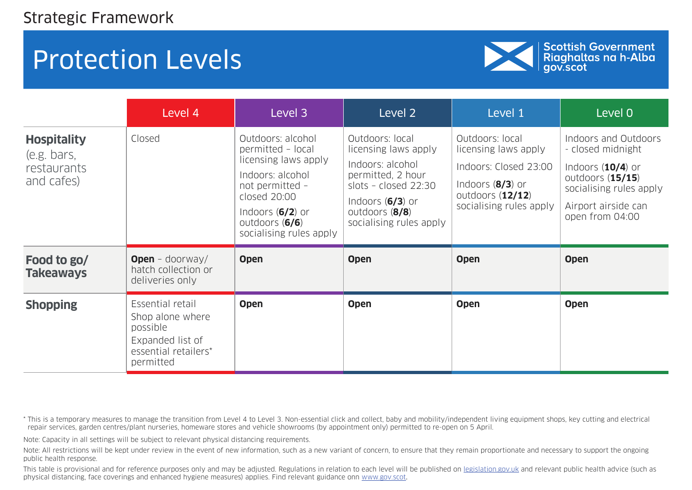

| Scottish Government<br>| Riaghaltas na h-Alba<br>| gov.scot

|                                                                | Level 4                                                                                                   | Level 3                                                                                                                                                                                  | Level 2                                                                                                                                                                       | Level 1                                                                                                                                 | Level 0                                                                                                                                                     |
|----------------------------------------------------------------|-----------------------------------------------------------------------------------------------------------|------------------------------------------------------------------------------------------------------------------------------------------------------------------------------------------|-------------------------------------------------------------------------------------------------------------------------------------------------------------------------------|-----------------------------------------------------------------------------------------------------------------------------------------|-------------------------------------------------------------------------------------------------------------------------------------------------------------|
| <b>Hospitality</b><br>(e.g. bars,<br>restaurants<br>and cafes) | Closed                                                                                                    | Outdoors: alcohol<br>permitted - local<br>licensing laws apply<br>Indoors: alcohol<br>not permitted -<br>closed 20:00<br>Indoors $(6/2)$ or<br>outdoors (6/6)<br>socialising rules apply | Outdoors: local<br>licensing laws apply<br>Indoors: alcohol<br>permitted, 2 hour<br>slots - closed $22:30$<br>Indoors $(6/3)$ or<br>outdoors (8/8)<br>socialising rules apply | Outdoors: local<br>licensing laws apply<br>Indoors: Closed 23:00<br>Indoors $(8/3)$ or<br>outdoors $(12/12)$<br>socialising rules apply | Indoors and Outdoors<br>- closed midnight<br>Indoors $(10/4)$ or<br>outdoors $(15/15)$<br>socialising rules apply<br>Airport airside can<br>open from 04:00 |
| Food to go/<br><b>Takeaways</b>                                | <b>Open</b> - doorway/<br>hatch collection or<br>deliveries only                                          | <b>Open</b>                                                                                                                                                                              | <b>Open</b>                                                                                                                                                                   | <b>Open</b>                                                                                                                             | <b>Open</b>                                                                                                                                                 |
| <b>Shopping</b>                                                | Essential retail<br>Shop alone where<br>possible<br>Expanded list of<br>essential retailers*<br>permitted | <b>Open</b>                                                                                                                                                                              | <b>Open</b>                                                                                                                                                                   | <b>Open</b>                                                                                                                             | <b>Open</b>                                                                                                                                                 |

\* This is a temporary measures to manage the transition from Level 4 to Level 3. Non-essential click and collect, baby and mobility/independent living equipment shops, key cutting and electrical repair services, garden centres/plant nurseries, homeware stores and vehicle showrooms (by appointment only) permitted to re-open on 5 April.

Note: Capacity in all settings will be subject to relevant physical distancing requirements.

Note: All restrictions will be kept under review in the event of new information, such as a new variant of concern, to ensure that they remain proportionate and necessary to support the ongoing public health response.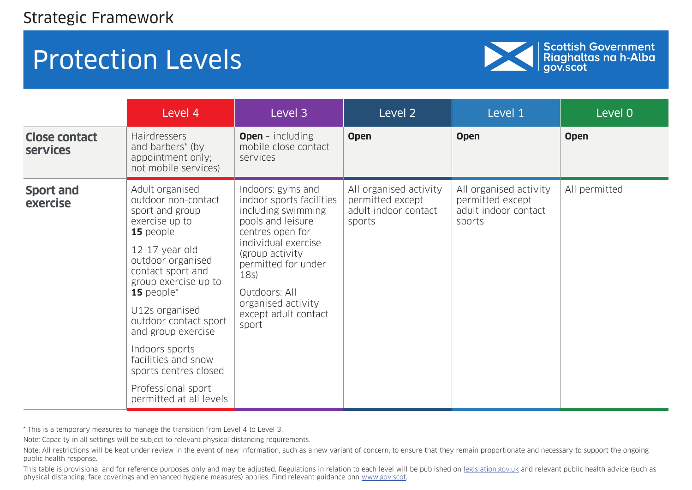

Scottish Government<br>Riaghaltas na h-Alba<br>gov.scot

|                                         | Level 4                                                                                                                                                                                                                                                                                                                                                                                                        | Level 3                                                                                                                                                                                                                                                       | Level 2                                                                      | Level 1                                                                      | Level 0       |
|-----------------------------------------|----------------------------------------------------------------------------------------------------------------------------------------------------------------------------------------------------------------------------------------------------------------------------------------------------------------------------------------------------------------------------------------------------------------|---------------------------------------------------------------------------------------------------------------------------------------------------------------------------------------------------------------------------------------------------------------|------------------------------------------------------------------------------|------------------------------------------------------------------------------|---------------|
| <b>Close contact</b><br><b>services</b> | <b>Hairdressers</b><br>and barbers <sup>*</sup> (by<br>appointment only;<br>not mobile services)                                                                                                                                                                                                                                                                                                               | <b>Open</b> - including<br>mobile close contact<br>services                                                                                                                                                                                                   | <b>Open</b>                                                                  | <b>Open</b>                                                                  | <b>Open</b>   |
| <b>Sport and</b><br>exercise            | Adult organised<br>outdoor non-contact<br>sport and group<br>exercise up to<br>15 people<br>12-17 year old<br>outdoor organised<br>contact sport and<br>group exercise up to<br><b>15</b> people <sup><math>*</math></sup><br>U12s organised<br>outdoor contact sport<br>and group exercise<br>Indoors sports<br>facilities and snow<br>sports centres closed<br>Professional sport<br>permitted at all levels | Indoors: gyms and<br>indoor sports facilities<br>including swimming<br>pools and leisure<br>centres open for<br>individual exercise<br>(group activity<br>permitted for under<br>18s)<br>Outdoors: All<br>organised activity<br>except adult contact<br>sport | All organised activity<br>permitted except<br>adult indoor contact<br>sports | All organised activity<br>permitted except<br>adult indoor contact<br>sports | All permitted |

\* This is a temporary measures to manage the transition from Level 4 to Level 3.

Note: Capacity in all settings will be subject to relevant physical distancing requirements.

Note: All restrictions will be kept under review in the event of new information, such as a new variant of concern, to ensure that they remain proportionate and necessary to support the ongoing public health response.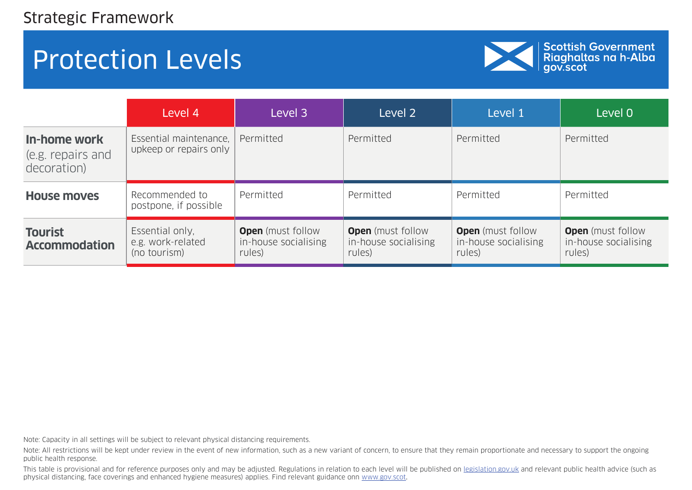

Scottish Government<br>Riaghaltas na h-Alba<br>gov.scot

|                                                  | Level 4                                              | Level 3                                                    | Level 2                                                    | Level 1                                                    | Level 0                                                    |
|--------------------------------------------------|------------------------------------------------------|------------------------------------------------------------|------------------------------------------------------------|------------------------------------------------------------|------------------------------------------------------------|
| In-home work<br>(e.g. repairs and<br>decoration) | Essential maintenance,<br>upkeep or repairs only     | Permitted                                                  | Permitted                                                  | Permitted                                                  | Permitted                                                  |
| <b>House moves</b>                               | Recommended to<br>postpone, if possible              | Permitted                                                  | Permitted                                                  | Permitted                                                  | Permitted                                                  |
| <b>Tourist</b><br><b>Accommodation</b>           | Essential only,<br>e.g. work-related<br>(no tourism) | <b>Open</b> (must follow<br>in-house socialising<br>rules) | <b>Open</b> (must follow<br>in-house socialising<br>rules) | <b>Open</b> (must follow<br>in-house socialising<br>rules) | <b>Open</b> (must follow<br>in-house socialising<br>rules) |

Note: Capacity in all settings will be subject to relevant physical distancing requirements.

Note: All restrictions will be kept under review in the event of new information, such as a new variant of concern, to ensure that they remain proportionate and necessary to support the ongoing public health response.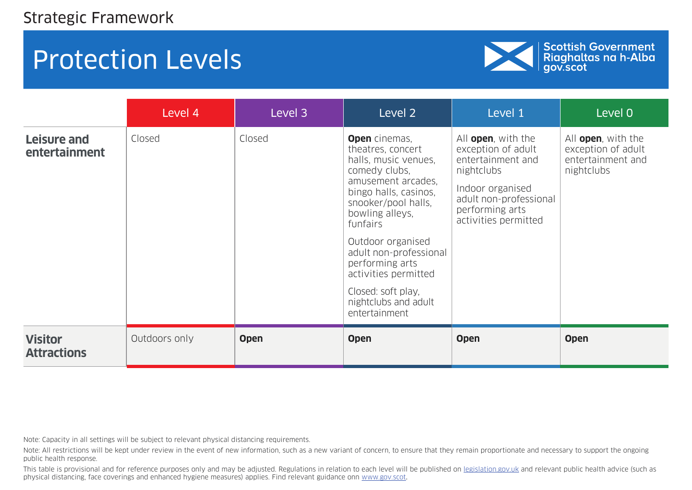

Scottish Government<br>Riaghaltas na h-Alba<br>gov.scot

|                                      | Level 4       | Level 3     | Level 2                                                                                                                                                                                                                                                                                                                                          | Level 1                                                                                                                                                                      | Level 0                                                                             |
|--------------------------------------|---------------|-------------|--------------------------------------------------------------------------------------------------------------------------------------------------------------------------------------------------------------------------------------------------------------------------------------------------------------------------------------------------|------------------------------------------------------------------------------------------------------------------------------------------------------------------------------|-------------------------------------------------------------------------------------|
| Leisure and<br>entertainment         | Closed        | Closed      | <b>Open</b> cinemas,<br>theatres, concert<br>halls, music venues,<br>comedy clubs,<br>amusement arcades,<br>bingo halls, casinos,<br>snooker/pool halls,<br>bowling alleys,<br>funfairs<br>Outdoor organised<br>adult non-professional<br>performing arts<br>activities permitted<br>Closed: soft play,<br>nightclubs and adult<br>entertainment | All <b>open</b> , with the<br>exception of adult<br>entertainment and<br>nightclubs<br>Indoor organised<br>adult non-professional<br>performing arts<br>activities permitted | All <b>open</b> , with the<br>exception of adult<br>entertainment and<br>nightclubs |
| <b>Visitor</b><br><b>Attractions</b> | Outdoors only | <b>Open</b> | <b>Open</b>                                                                                                                                                                                                                                                                                                                                      | <b>Open</b>                                                                                                                                                                  | <b>Open</b>                                                                         |

Note: Capacity in all settings will be subject to relevant physical distancing requirements.

Note: All restrictions will be kept under review in the event of new information, such as a new variant of concern, to ensure that they remain proportionate and necessary to support the ongoing public health response.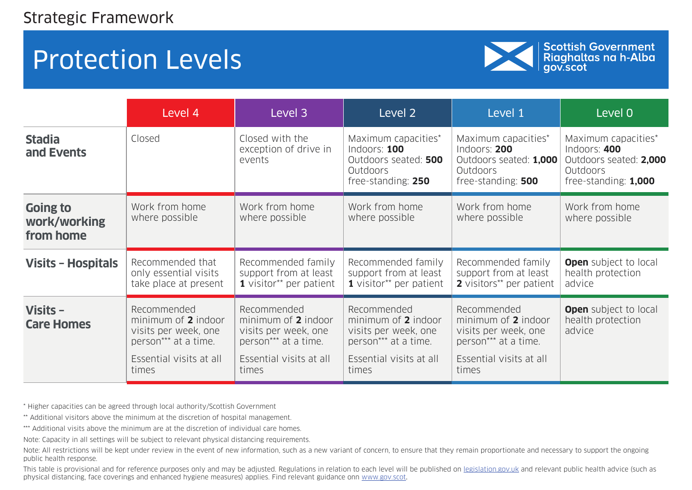

Scottish Government<br>Riaghaltas na h-Alba<br>gov.scot

|                                              | Level 4                                                                                                                | Level 3                                                                                                                | Level <sub>2</sub>                                                                                                     | Level 1                                                                                                                | Level 0                                                                                           |
|----------------------------------------------|------------------------------------------------------------------------------------------------------------------------|------------------------------------------------------------------------------------------------------------------------|------------------------------------------------------------------------------------------------------------------------|------------------------------------------------------------------------------------------------------------------------|---------------------------------------------------------------------------------------------------|
| <b>Stadia</b><br>and Events                  | Closed                                                                                                                 | Closed with the<br>exception of drive in<br>events                                                                     | Maximum capacities*<br>Indoors: 100<br>Outdoors seated: 500<br>Outdoors<br>free-standing: 250                          | Maximum capacities*<br>Indoors: 200<br>Outdoors seated: 1,000<br><b>Outdoors</b><br>free-standing: 500                 | Maximum capacities*<br>Indoors: 400<br>Outdoors seated: 2,000<br>Outdoors<br>free-standing: 1,000 |
| <b>Going to</b><br>work/working<br>from home | Work from home<br>where possible                                                                                       | Work from home<br>where possible                                                                                       | Work from home<br>where possible                                                                                       | Work from home<br>where possible                                                                                       | Work from home<br>where possible                                                                  |
| <b>Visits - Hospitals</b>                    | Recommended that<br>only essential visits<br>take place at present                                                     | Recommended family<br>support from at least<br>1 visitor** per patient                                                 | Recommended family<br>support from at least<br>1 visitor** per patient                                                 | Recommended family<br>support from at least<br>2 visitors** per patient                                                | <b>Open</b> subject to local<br>health protection<br>advice                                       |
| Visits $-$<br><b>Care Homes</b>              | Recommended<br>minimum of 2 indoor<br>visits per week, one<br>person*** at a time.<br>Essential visits at all<br>times | Recommended<br>minimum of 2 indoor<br>visits per week, one<br>person*** at a time.<br>Essential visits at all<br>times | Recommended<br>minimum of 2 indoor<br>visits per week, one<br>person*** at a time.<br>Essential visits at all<br>times | Recommended<br>minimum of 2 indoor<br>visits per week, one<br>person*** at a time.<br>Essential visits at all<br>times | <b>Open</b> subject to local<br>health protection<br>advice                                       |

\* Higher capacities can be agreed through local authority/Scottish Government

\*\* Additional visitors above the minimum at the discretion of hospital management.

\*\*\* Additional visits above the minimum are at the discretion of individual care homes.

Note: Capacity in all settings will be subject to relevant physical distancing requirements.

Note: All restrictions will be kept under review in the event of new information, such as a new variant of concern, to ensure that they remain proportionate and necessary to support the ongoing public health response.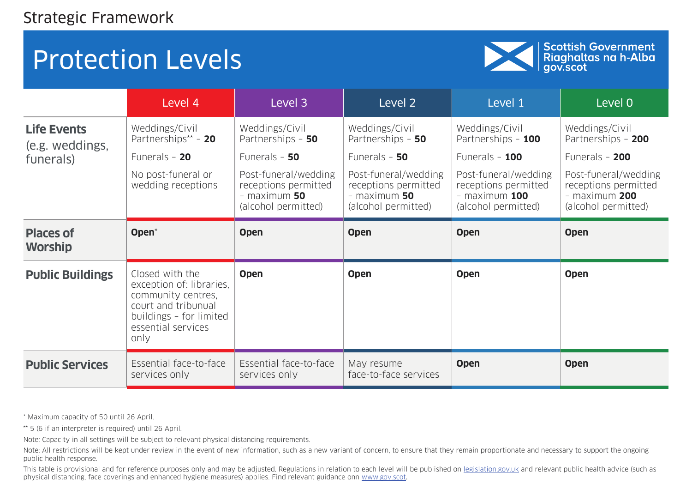

Scottish Government<br>Riaghaltas na h-Alba<br>gov.scot

|                                       | Level 4                                                                                                                                           | Level 3                                                                               | Level 2                                                                               | Level 1                                                                                  | Level 0                                                                                |
|---------------------------------------|---------------------------------------------------------------------------------------------------------------------------------------------------|---------------------------------------------------------------------------------------|---------------------------------------------------------------------------------------|------------------------------------------------------------------------------------------|----------------------------------------------------------------------------------------|
| <b>Life Events</b><br>(e.g. weddings, | Weddings/Civil<br>Partnerships** - 20                                                                                                             | Weddings/Civil<br>Partnerships - 50                                                   | Weddings/Civil<br>Partnerships - 50                                                   | Weddings/Civil<br>Partnerships - 100                                                     | Weddings/Civil<br>Partnerships - 200                                                   |
| funerals)                             | Funerals $-20$                                                                                                                                    | Funerals $-50$                                                                        | Funerals $-50$                                                                        | Funerals - 100                                                                           | Funerals - 200                                                                         |
|                                       | No post-funeral or<br>wedding receptions                                                                                                          | Post-funeral/wedding<br>receptions permitted<br>$-$ maximum 50<br>(alcohol permitted) | Post-funeral/wedding<br>receptions permitted<br>$-$ maximum 50<br>(alcohol permitted) | Post-funeral/wedding<br>receptions permitted<br>$-$ maximum $100$<br>(alcohol permitted) | Post-funeral/wedding<br>receptions permitted<br>$-$ maximum 200<br>(alcohol permitted) |
| <b>Places of</b><br><b>Worship</b>    | Open <sup>*</sup>                                                                                                                                 | <b>Open</b>                                                                           | <b>Open</b>                                                                           | <b>Open</b>                                                                              | <b>Open</b>                                                                            |
| <b>Public Buildings</b>               | Closed with the<br>exception of: libraries,<br>community centres,<br>court and tribunual<br>buildings - for limited<br>essential services<br>only | <b>Open</b>                                                                           | <b>Open</b>                                                                           | <b>Open</b>                                                                              | <b>Open</b>                                                                            |
| <b>Public Services</b>                | Essential face-to-face<br>services only                                                                                                           | Essential face-to-face<br>services only                                               | May resume<br>face-to-face services                                                   | <b>Open</b>                                                                              | <b>Open</b>                                                                            |

\* Maximum capacity of 50 until 26 April.

\*\* 5 (6 if an interpreter is required) until 26 April.

Note: Capacity in all settings will be subject to relevant physical distancing requirements.

Note: All restrictions will be kept under review in the event of new information, such as a new variant of concern, to ensure that they remain proportionate and necessary to support the ongoing public health response.